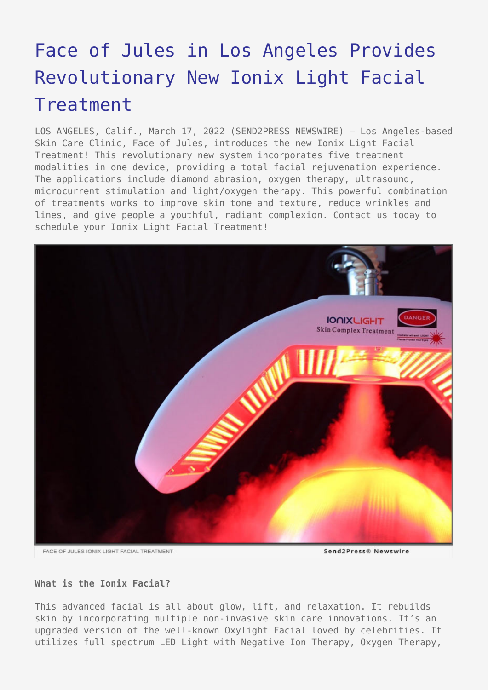# [Face of Jules in Los Angeles Provides](https://www.send2press.com/wire/face-of-jules-in-los-angeles-provides-revolutionary-new-ionix-light-facial-treatment/) [Revolutionary New Ionix Light Facial](https://www.send2press.com/wire/face-of-jules-in-los-angeles-provides-revolutionary-new-ionix-light-facial-treatment/) [Treatment](https://www.send2press.com/wire/face-of-jules-in-los-angeles-provides-revolutionary-new-ionix-light-facial-treatment/)

LOS ANGELES, Calif., March 17, 2022 (SEND2PRESS NEWSWIRE) — Los Angeles-based Skin Care Clinic, Face of Jules, introduces the new Ionix Light Facial Treatment! This revolutionary new system incorporates five treatment modalities in one device, providing a total facial rejuvenation experience. The applications include diamond abrasion, oxygen therapy, ultrasound, microcurrent stimulation and light/oxygen therapy. This powerful combination of treatments works to improve skin tone and texture, reduce wrinkles and lines, and give people a youthful, radiant complexion. Contact us today to schedule your Ionix Light Facial Treatment!



FACE OF JULES JONIX LIGHT FACIAL TREATMENT

Send2Press® Newswire

### **What is the Ionix Facial?**

This advanced facial is all about glow, lift, and relaxation. It rebuilds skin by incorporating multiple non-invasive skin care innovations. It's an upgraded version of the well-known Oxylight Facial loved by celebrities. It utilizes full spectrum LED Light with Negative Ion Therapy, Oxygen Therapy,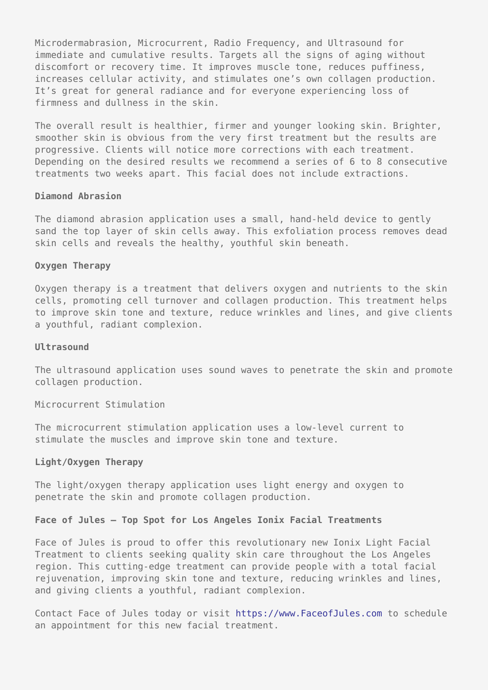Microdermabrasion, Microcurrent, Radio Frequency, and Ultrasound for immediate and cumulative results. Targets all the signs of aging without discomfort or recovery time. It improves muscle tone, reduces puffiness, increases cellular activity, and stimulates one's own collagen production. It's great for general radiance and for everyone experiencing loss of firmness and dullness in the skin.

The overall result is healthier, firmer and younger looking skin. Brighter, smoother skin is obvious from the very first treatment but the results are progressive. Clients will notice more corrections with each treatment. Depending on the desired results we recommend a series of 6 to 8 consecutive treatments two weeks apart. This facial does not include extractions.

## **Diamond Abrasion**

The diamond abrasion application uses a small, hand-held device to gently sand the top layer of skin cells away. This exfoliation process removes dead skin cells and reveals the healthy, youthful skin beneath.

## **Oxygen Therapy**

Oxygen therapy is a treatment that delivers oxygen and nutrients to the skin cells, promoting cell turnover and collagen production. This treatment helps to improve skin tone and texture, reduce wrinkles and lines, and give clients a youthful, radiant complexion.

#### **Ultrasound**

The ultrasound application uses sound waves to penetrate the skin and promote collagen production.

Microcurrent Stimulation

The microcurrent stimulation application uses a low-level current to stimulate the muscles and improve skin tone and texture.

#### **Light/Oxygen Therapy**

The light/oxygen therapy application uses light energy and oxygen to penetrate the skin and promote collagen production.

#### **Face of Jules – Top Spot for Los Angeles Ionix Facial Treatments**

Face of Jules is proud to offer this revolutionary new Ionix Light Facial Treatment to clients seeking quality skin care throughout the Los Angeles region. This cutting-edge treatment can provide people with a total facial rejuvenation, improving skin tone and texture, reducing wrinkles and lines, and giving clients a youthful, radiant complexion.

Contact Face of Jules today or visit <https://www.FaceofJules.com> to schedule an appointment for this new facial treatment.